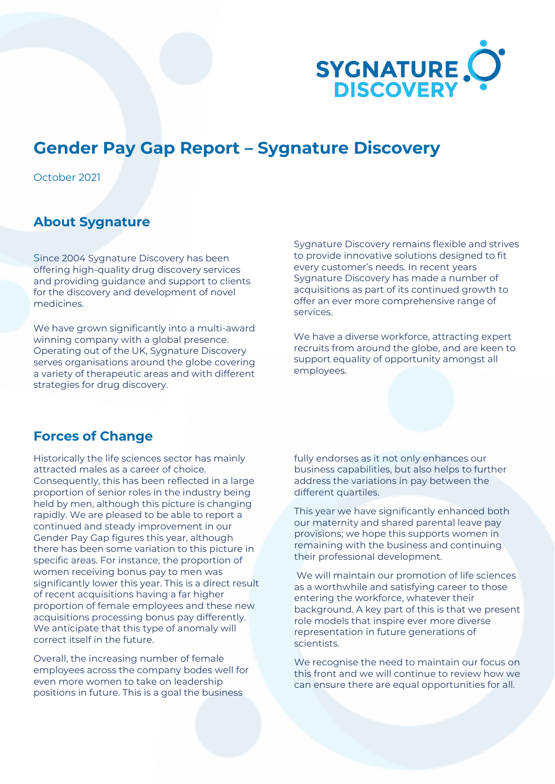

## **Gender Pay Gap Report – Sygnature Discovery**

October 2021

## **About Sygnature**

Since 2004 Sygnature Discovery has been offering high-quality drug discovery services and providing guidance and support to clients for the discovery and development of novel medicines.

We have grown significantly into a multi-award winning company with a global presence. Operating out of the UK, Sygnature Discovery serves organisations around the globe covering a variety of therapeutic areas and with different strategies for drug discovery.

Sygnature Discovery remains flexible and strives to provide innovative solutions designed to fit every customer's needs. In recent years Sygnature Discovery has made a number of acquisitions as part of its continued growth to offer an ever more comprehensive range of services.

We have a diverse workforce, attracting expert recruits from around the globe, and are keen to support equality of opportunity amongst all employees.

## **Forces of Change**

Historically the life sciences sector has mainly attracted males as a career of choice. Consequently, this has been reflected in a large proportion of senior roles in the industry being held by men, although this picture is changing rapidly. We are pleased to be able to report a continued and steady improvement in our Gender Pay Gap figures this year, although there has been some variation to this picture in specific areas. For instance, the proportion of women receiving bonus pay to men was significantly lower this year. This is a direct result of recent acquisitions having a far higher proportion of female employees and these new acquisitions processing bonus pay differently. We anticipate that this type of anomaly will correct itself in the future.

Overall, the increasing number of female employees across the company bodes well for even more women to take on leadership positions in future. This is a goal the business

fully endorses as it not only enhances our business capabilities, but also helps to further address the variations in pay between the different quartiles.

This year we have significantly enhanced both our maternity and shared parental leave pay provisions; we hope this supports women in remaining with the business and continuing their professional development.

We will maintain our promotion of life sciences as a worthwhile and satisfying career to those entering the workforce, whatever their background. A key part of this is that we present role models that inspire ever more diverse representation in future generations of scientists.

We recognise the need to maintain our focus on this front and we will continue to review how we can ensure there are equal opportunities for all.